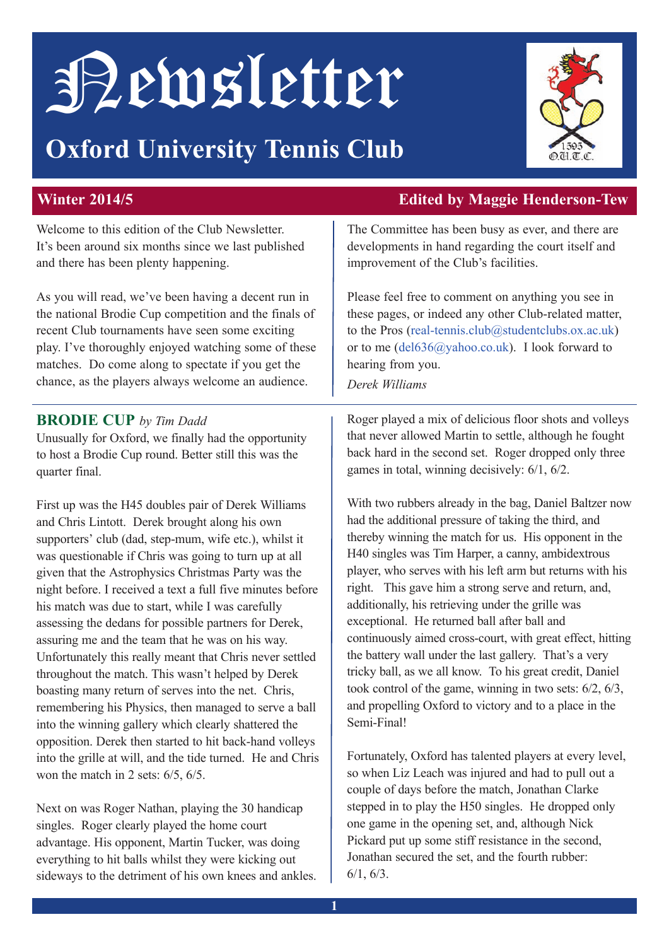# Newsletter

## **Oxford University Tennis Club**



Welcome to this edition of the Club Newsletter. It's been around six months since we last published and there has been plenty happening.

As you will read, we've been having a decent run in the national Brodie Cup competition and the finals of recent Club tournaments have seen some exciting play. I've thoroughly enjoyed watching some of these matches. Do come along to spectate if you get the chance, as the players always welcome an audience.

#### **Brodie Cup** *by Tim Dadd*

Unusually for Oxford, we finally had the opportunity to host a Brodie Cup round. Better still this was the quarter final.

First up was the H45 doubles pair of Derek Williams and Chris Lintott. Derek brought along his own supporters' club (dad, step-mum, wife etc.), whilst it was questionable if Chris was going to turn up at all given that the Astrophysics Christmas Party was the night before. I received a text a full five minutes before his match was due to start, while I was carefully assessing the dedans for possible partners for Derek, assuring me and the team that he was on his way. Unfortunately this really meant that Chris never settled throughout the match. This wasn't helped by Derek boasting many return of serves into the net. Chris, remembering his Physics, then managed to serve a ball into the winning gallery which clearly shattered the opposition. Derek then started to hit back-hand volleys into the grille at will, and the tide turned. He and Chris won the match in 2 sets: 6/5, 6/5.

Next on was Roger Nathan, playing the 30 handicap singles. Roger clearly played the home court advantage. His opponent, Martin Tucker, was doing everything to hit balls whilst they were kicking out sideways to the detriment of his own knees and ankles.

#### **Winter 2014/5 edited by Maggie Henderson-Tew**

The Committee has been busy as ever, and there are developments in hand regarding the court itself and improvement of the Club's facilities.

Please feel free to comment on anything you see in these pages, or indeed any other Club-related matter, to the Pros (real-tennis.club@studentclubs.ox.ac.uk) or to me (del636@yahoo.co.uk). I look forward to hearing from you.

*Derek Williams* 

Roger played a mix of delicious floor shots and volleys that never allowed Martin to settle, although he fought back hard in the second set. Roger dropped only three games in total, winning decisively: 6/1, 6/2.

With two rubbers already in the bag, Daniel Baltzer now had the additional pressure of taking the third, and thereby winning the match for us. His opponent in the H40 singles was Tim Harper, a canny, ambidextrous player, who serves with his left arm but returns with his right. This gave him a strong serve and return, and, additionally, his retrieving under the grille was exceptional. He returned ball after ball and continuously aimed cross-court, with great effect, hitting the battery wall under the last gallery. That's a very tricky ball, as we all know. To his great credit, Daniel took control of the game, winning in two sets: 6/2, 6/3, and propelling Oxford to victory and to a place in the Semi-Final!

Fortunately, Oxford has talented players at every level, so when Liz Leach was injured and had to pull out a couple of days before the match, Jonathan Clarke stepped in to play the H50 singles. He dropped only one game in the opening set, and, although Nick Pickard put up some stiff resistance in the second, Jonathan secured the set, and the fourth rubber: 6/1, 6/3.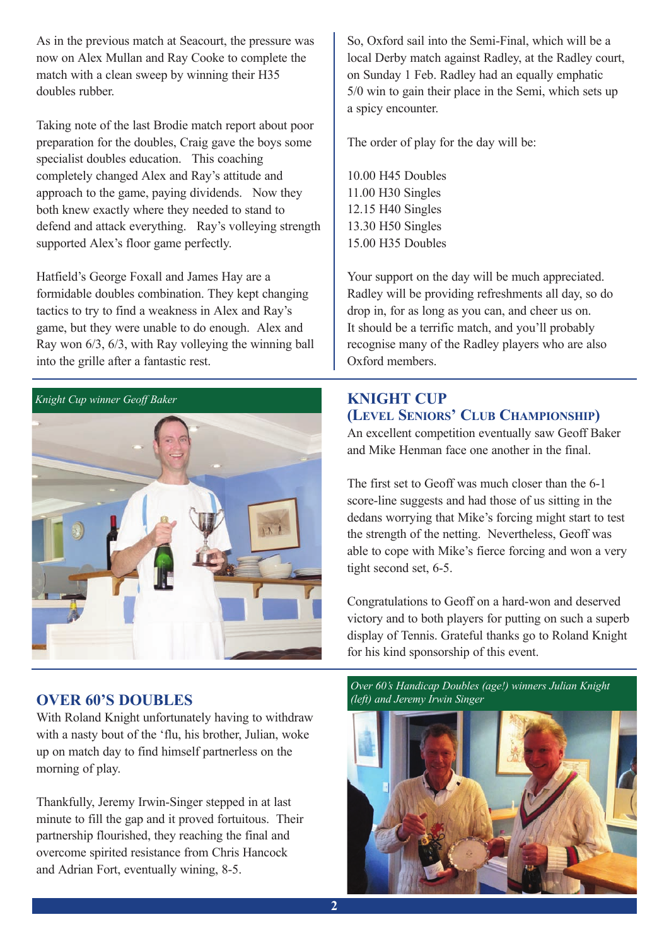As in the previous match at Seacourt, the pressure was now on Alex Mullan and Ray Cooke to complete the match with a clean sweep by winning their H35 doubles rubber.

Taking note of the last Brodie match report about poor preparation for the doubles, Craig gave the boys some specialist doubles education. This coaching completely changed Alex and Ray's attitude and approach to the game, paying dividends. Now they both knew exactly where they needed to stand to defend and attack everything. Ray's volleying strength supported Alex's floor game perfectly.

Hatfield's George Foxall and James Hay are a formidable doubles combination. They kept changing tactics to try to find a weakness in Alex and Ray's game, but they were unable to do enough. Alex and Ray won 6/3, 6/3, with Ray volleying the winning ball into the grille after a fantastic rest.



#### **OVER 60'S DOUBLES**

With Roland Knight unfortunately having to withdraw with a nasty bout of the 'flu, his brother, Julian, woke up on match day to find himself partnerless on the morning of play.

Thankfully, Jeremy Irwin-Singer stepped in at last minute to fill the gap and it proved fortuitous. Their partnership flourished, they reaching the final and overcome spirited resistance from Chris Hancock and Adrian Fort, eventually wining, 8-5.

So, Oxford sail into the Semi-Final, which will be a local Derby match against Radley, at the Radley court, on Sunday 1 Feb. Radley had an equally emphatic 5/0 win to gain their place in the Semi, which sets up a spicy encounter.

The order of play for the day will be:

10.00 H45 Doubles 11.00 H30 Singles 12.15 H40 Singles 13.30 H50 Singles 15.00 H35 Doubles

Your support on the day will be much appreciated. Radley will be providing refreshments all day, so do drop in, for as long as you can, and cheer us on. It should be a terrific match, and you'll probably recognise many of the Radley players who are also Oxford members.

#### **KnigHT Cup (LeveL SeniorS' CLuB CHaMpionSHip)**

An excellent competition eventually saw Geoff Baker and Mike Henman face one another in the final.

The first set to Geoff was much closer than the 6-1 score-line suggests and had those of us sitting in the dedans worrying that Mike's forcing might start to test the strength of the netting. Nevertheless, Geoff was able to cope with Mike's fierce forcing and won a very tight second set, 6-5.

Congratulations to Geoff on a hard-won and deserved victory and to both players for putting on such a superb display of Tennis. Grateful thanks go to Roland Knight for his kind sponsorship of this event.

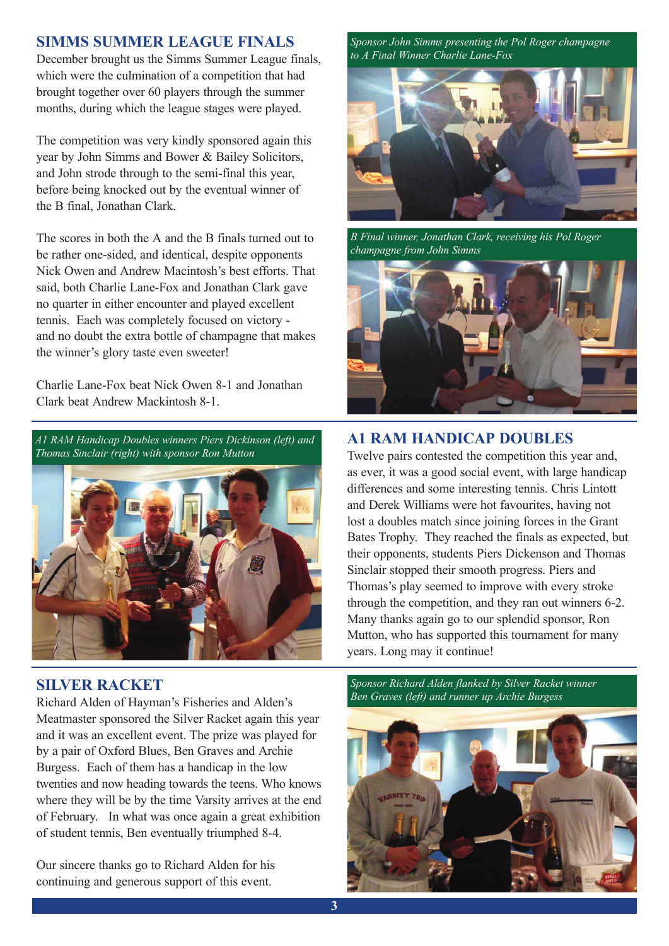#### **SiMMS SuMMer League FinaLS**

December brought us the Simms Summer League finals, which were the culmination of a competition that had brought together over 60 players through the summer months, during which the league stages were played.

The competition was very kindly sponsored again this year by John Simms and Bower & Bailey Solicitors, and John strode through to the semi-final this year, before being knocked out by the eventual winner of the B final, Jonathan Clark.

The scores in both the A and the B finals turned out to be rather one-sided, and identical, despite opponents Nick Owen and Andrew Macintosh's best efforts. That said, both Charlie Lane-Fox and Jonathan Clark gave no quarter in either encounter and played excellent tennis. Each was completely focused on victory and no doubt the extra bottle of champagne that makes the winner's glory taste even sweeter!

Charlie Lane-Fox beat Nick Owen 8-1 and Jonathan Clark beat Andrew Mackintosh 8-1.



#### **SiLver raCKeT**

Richard Alden of Hayman's Fisheries and Alden's Meatmaster sponsored the Silver Racket again this year and it was an excellent event. The prize was played for by a pair of Oxford Blues, Ben Graves and Archie Burgess. Each of them has a handicap in the low twenties and now heading towards the teens. Who knows where they will be by the time Varsity arrives at the end of February. In what was once again a great exhibition of student tennis, Ben eventually triumphed 8-4.

Our sincere thanks go to Richard Alden for his continuing and generous support of this event.

*Sponsor John Simms presenting the Pol Roger champagne to A Final Winner Charlie Lane-Fox*



*B Final winner, Jonathan Clark, receiving his Pol Roger champagne from John Simms*



#### **a1 raM HandiCap douBLeS**

Twelve pairs contested the competition this year and, as ever, it was a good social event, with large handicap differences and some interesting tennis. Chris Lintott and Derek Williams were hot favourites, having not lost a doubles match since joining forces in the Grant Bates Trophy. They reached the finals as expected, but their opponents, students Piers Dickenson and Thomas Sinclair stopped their smooth progress. Piers and Thomas's play seemed to improve with every stroke through the competition, and they ran out winners 6-2. Many thanks again go to our splendid sponsor, Ron Mutton, who has supported this tournament for many years. Long may it continue!

*Sponsor Richard Alden flanked by Silver Racket winner Ben Graves (left) and runner up Archie Burgess*

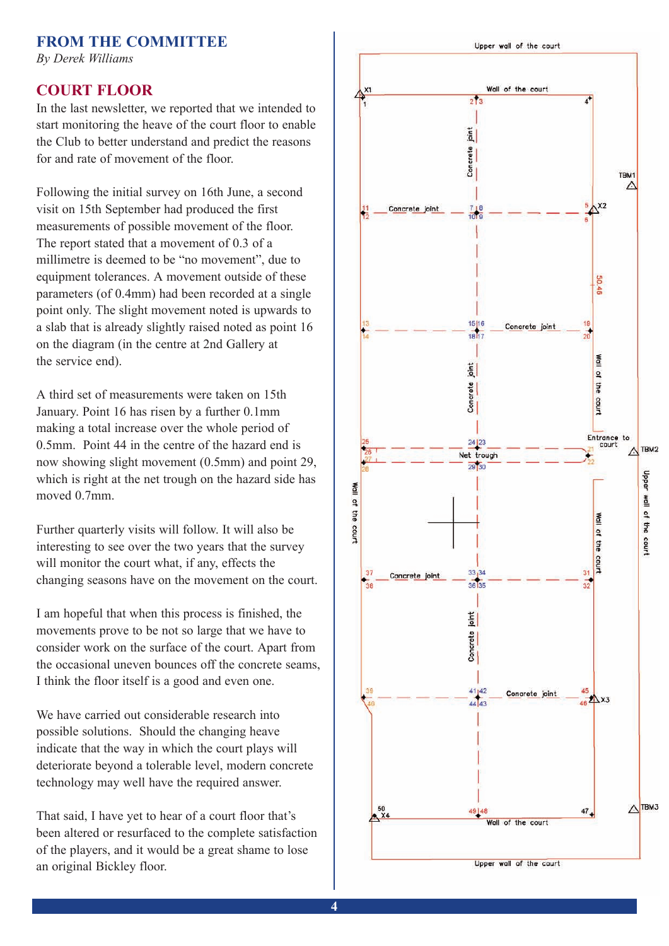#### **FroM THe CoMMiTTee**

*By Derek Williams*

#### **CourT FLoor**

In the last newsletter, we reported that we intended to start monitoring the heave of the court floor to enable the Club to better understand and predict the reasons for and rate of movement of the floor.

Following the initial survey on 16th June, a second visit on 15th September had produced the first measurements of possible movement of the floor. The report stated that a movement of 0.3 of a millimetre is deemed to be "no movement", due to equipment tolerances. A movement outside of these parameters (of 0.4mm) had been recorded at a single point only. The slight movement noted is upwards to a slab that is already slightly raised noted as point 16 on the diagram (in the centre at 2nd Gallery at the service end).

A third set of measurements were taken on 15th January. Point 16 has risen by a further 0.1mm making a total increase over the whole period of 0.5mm. Point 44 in the centre of the hazard end is now showing slight movement (0.5mm) and point 29, which is right at the net trough on the hazard side has moved 0.7mm.

Further quarterly visits will follow. It will also be interesting to see over the two years that the survey will monitor the court what, if any, effects the changing seasons have on the movement on the court.

I am hopeful that when this process is finished, the movements prove to be not so large that we have to consider work on the surface of the court. Apart from the occasional uneven bounces off the concrete seams, I think the floor itself is a good and even one.

We have carried out considerable research into possible solutions. Should the changing heave indicate that the way in which the court plays will deteriorate beyond a tolerable level, modern concrete technology may well have the required answer.

That said, I have yet to hear of a court floor that's been altered or resurfaced to the complete satisfaction of the players, and it would be a great shame to lose an original Bickley floor.

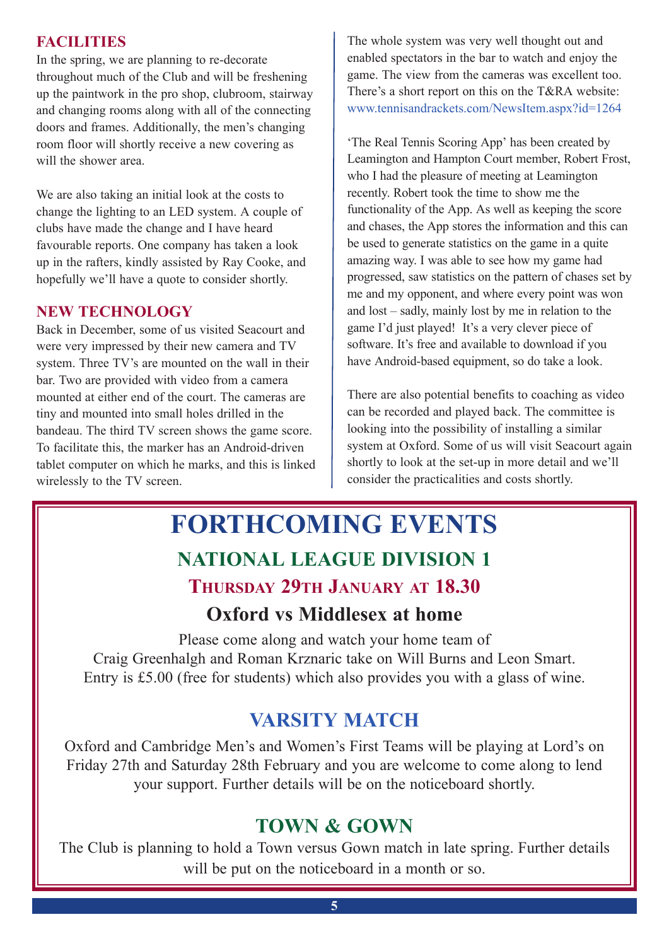#### **FaCiLiTieS**

In the spring, we are planning to re-decorate throughout much of the Club and will be freshening up the paintwork in the pro shop, clubroom, stairway and changing rooms along with all of the connecting doors and frames. Additionally, the men's changing room floor will shortly receive a new covering as will the shower area.

We are also taking an initial look at the costs to change the lighting to an LED system. A couple of clubs have made the change and I have heard favourable reports. One company has taken a look up in the rafters, kindly assisted by Ray Cooke, and hopefully we'll have a quote to consider shortly.

#### **neW TeCHnoLogy**

Back in December, some of us visited Seacourt and were very impressed by their new camera and TV system. Three TV's are mounted on the wall in their bar. Two are provided with video from a camera mounted at either end of the court. The cameras are tiny and mounted into small holes drilled in the bandeau. The third TV screen shows the game score. To facilitate this, the marker has an Android-driven tablet computer on which he marks, and this is linked wirelessly to the TV screen.

The whole system was very well thought out and enabled spectators in the bar to watch and enjoy the game. The view from the cameras was excellent too. There's a short report on this on the T&RA website: www.tennisandrackets.com/NewsItem.aspx?id=1264

'The Real Tennis Scoring App' has been created by Leamington and Hampton Court member, Robert Frost, who I had the pleasure of meeting at Leamington recently. Robert took the time to show me the functionality of the App. As well as keeping the score and chases, the App stores the information and this can be used to generate statistics on the game in a quite amazing way. I was able to see how my game had progressed, saw statistics on the pattern of chases set by me and my opponent, and where every point was won and lost – sadly, mainly lost by me in relation to the game I'd just played! It's a very clever piece of software. It's free and available to download if you have Android-based equipment, so do take a look.

There are also potential benefits to coaching as video can be recorded and played back. The committee is looking into the possibility of installing a similar system at Oxford. Some of us will visit Seacourt again shortly to look at the set-up in more detail and we'll consider the practicalities and costs shortly.

## **Forthcoming events naTionaL League diviSion 1 THurSday 29TH January aT 18.30 oxford vs Middlesex at home**

Please come along and watch your home team of Craig Greenhalgh and Roman Krznaric take on Will Burns and Leon Smart. Entry is £5.00 (free for students) which also provides you with a glass of wine.

### **varSiTy MaTCH**

Oxford and Cambridge Men's and Women's First Teams will be playing at Lord's on Friday 27th and Saturday 28th February and you are welcome to come along to lend your support. Further details will be on the noticeboard shortly.

#### **ToWn & goWn**

The Club is planning to hold a Town versus Gown match in late spring. Further details will be put on the noticeboard in a month or so.